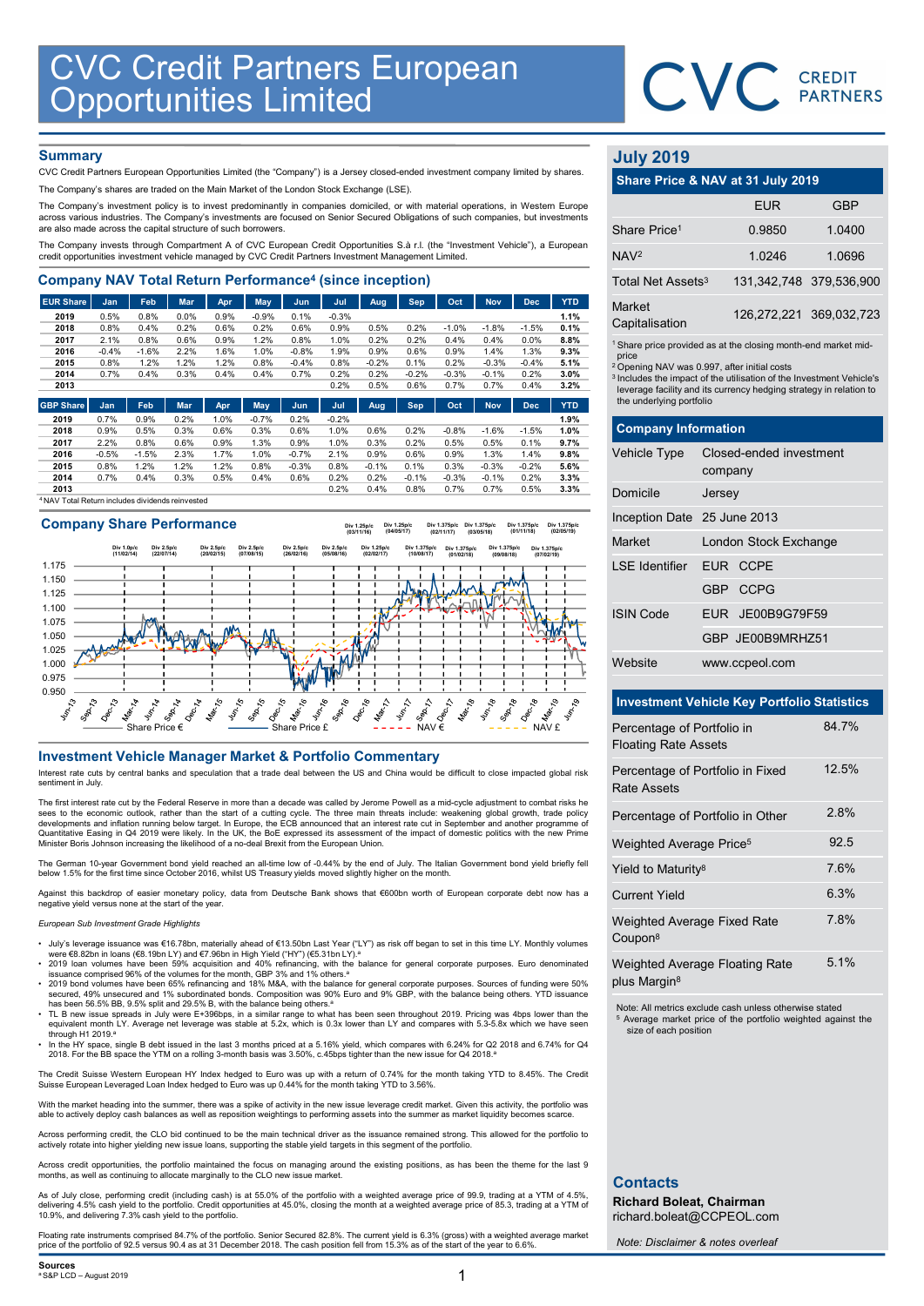

# **Summary**

| <b>CVC Credit Partners European<br/>Opportunities Limited</b>                                                                                                                                      |              |              |              |              |              |                 |              |                 |                 |                 |                    |                 |              |                               |                                                                               |                        |
|----------------------------------------------------------------------------------------------------------------------------------------------------------------------------------------------------|--------------|--------------|--------------|--------------|--------------|-----------------|--------------|-----------------|-----------------|-----------------|--------------------|-----------------|--------------|-------------------------------|-------------------------------------------------------------------------------|------------------------|
|                                                                                                                                                                                                    |              |              |              |              |              |                 |              |                 |                 |                 |                    |                 |              |                               | CVC CREDIT                                                                    |                        |
|                                                                                                                                                                                                    |              |              |              |              |              |                 |              |                 |                 |                 |                    |                 |              |                               |                                                                               |                        |
|                                                                                                                                                                                                    |              |              |              |              |              |                 |              |                 |                 |                 |                    |                 |              |                               |                                                                               |                        |
| <b>Summary</b>                                                                                                                                                                                     |              |              |              |              |              |                 |              |                 |                 |                 |                    |                 |              | <b>July 2019</b>              |                                                                               |                        |
| CVC Credit Partners European Opportunities Limited (the "Company") is a Jersey closed-ended investment company limited by shares.                                                                  |              |              |              |              |              |                 |              |                 |                 |                 |                    |                 |              |                               |                                                                               |                        |
| The Company's shares are traded on the Main Market of the London Stock Exchange (LSE).                                                                                                             |              |              |              |              |              |                 |              |                 |                 |                 |                    |                 |              |                               | Share Price & NAV at 31 July 2019                                             |                        |
| The Company's investment policy is to invest predominantly in companies domiciled, or with material operations, in Western Europe                                                                  |              |              |              |              |              |                 |              |                 |                 |                 |                    |                 |              |                               | <b>EUR</b>                                                                    | <b>GBP</b>             |
| across various industries. The Company's investments are focused on Senior Secured Obligations of such companies, but investments<br>are also made across the capital structure of such borrowers. |              |              |              |              |              |                 |              |                 |                 |                 |                    |                 |              | Share Price <sup>1</sup>      | 0.9850                                                                        | 1.0400                 |
| The Company invests through Compartment A of CVC European Credit Opportunities S.à r.l. (the "Investment Vehicle"), a European                                                                     |              |              |              |              |              |                 |              |                 |                 |                 |                    |                 |              |                               |                                                                               |                        |
| credit opportunities investment vehicle managed by CVC Credit Partners Investment Management Limited.                                                                                              |              |              |              |              |              |                 |              |                 |                 |                 |                    |                 |              | NAV <sup>2</sup>              | 1.0246                                                                        | 1.0696                 |
| <b>Company NAV Total Return Performance<sup>4</sup> (since inception)</b>                                                                                                                          |              |              |              |              |              |                 |              |                 |                 |                 |                    |                 |              | Total Net Assets <sup>3</sup> |                                                                               | 131,342,748 379,536,90 |
| <b>EUR Share</b>                                                                                                                                                                                   | Jan          | Feb          | Mar          | Apr          | May          | Jun             | Jul          | Aug             | Sep             | Oct             | <b>Nov</b>         | <b>Dec</b>      | <b>YTD</b>   | Market                        |                                                                               |                        |
| 2019                                                                                                                                                                                               | 0.5%         | 0.8%         | 0.0%         | 0.9%         | $-0.9%$      | 0.1%            | $-0.3%$      |                 |                 |                 |                    |                 | 1.1%         | Capitalisation                |                                                                               | 126,272,221 369,032,72 |
| 2018<br>2017                                                                                                                                                                                       | 0.8%<br>2.1% | 0.4%<br>0.8% | 0.2%<br>0.6% | 0.6%<br>0.9% | 0.2%<br>1.2% | 0.6%<br>0.8%    | 0.9%<br>1.0% | 0.5%<br>0.2%    | 0.2%<br>0.2%    | $-1.0%$<br>0.4% | $-1.8%$<br>0.4%    | $-1.5%$<br>0.0% | 0.1%<br>8.8% |                               |                                                                               |                        |
| 2016                                                                                                                                                                                               | $-0.4%$      | $-1.6%$      | 2.2%         | 1.6%         | 1.0%         | $-0.8%$         | 1.9%         | 0.9%            | 0.6%            | 0.9%            | 1.4%               | 1.3%            | 9.3%         |                               | <sup>1</sup> Share price provided as at the closing month-end market mid      |                        |
| 2015                                                                                                                                                                                               | 0.8%         | 1.2%         | 1.2%         | 1.2%         | 0.8%         | $-0.4%$         | 0.8%         | $-0.2%$         | 0.1%            | 0.2%            | $-0.3%$            | $-0.4%$         | 5.1%         | price                         | <sup>2</sup> Opening NAV was 0.997, after initial costs                       |                        |
| 2014                                                                                                                                                                                               | 0.7%         | 0.4%         | 0.3%         | 0.4%         | 0.4%         | 0.7%            | 0.2%         | 0.2%            | $-0.2%$         | $-0.3%$         | $-0.1%$            | 0.2%            | 3.0%         |                               | <sup>3</sup> Includes the impact of the utilisation of the Investment Vehicle |                        |
| 2013                                                                                                                                                                                               |              |              |              |              |              |                 | 0.2%         | 0.5%            | 0.6%            | 0.7%            | 0.7%               | 0.4%            | 3.2%         |                               | leverage facility and its currency hedging strategy in relation t             |                        |
| <b>GBP Share</b>                                                                                                                                                                                   | Jan          | Feb          | <b>Mar</b>   | Apr          | May          | Jun.            | Jul          | Aug             | <b>Sep</b>      | Oct             | <b>Nov</b>         | <b>Dec</b>      | <b>YTD</b>   | the underlying portfolio      |                                                                               |                        |
| 2019                                                                                                                                                                                               | 0.7%         | 0.9%         | 0.2%         | 1.0%         | $-0.7%$      | 0.2%            | $-0.2%$      |                 |                 |                 |                    |                 | 1.9%         |                               |                                                                               |                        |
| 2018                                                                                                                                                                                               | 0.9%         | 0.5%         | 0.3%         | 0.6%         | 0.3%         | 0.6%            | 1.0%         | 0.6%            | 0.2%            | $-0.8%$         | $-1.6%$            | $-1.5%$         | 1.0%         | <b>Company Information</b>    |                                                                               |                        |
| 2017                                                                                                                                                                                               | 2.2%         | 0.8%         | 0.6%         | 0.9%         | 1.3%         | 0.9%            | 1.0%         | 0.3%            | 0.2%            | 0.5%            | 0.5%               | 0.1%            | 9.7%         |                               |                                                                               |                        |
| 2016                                                                                                                                                                                               | $-0.5%$      | $-1.5%$      | 2.3%         | 1.7%         | 1.0%         | $-0.7%$         | 2.1%         | 0.9%            | 0.6%            | 0.9%            | 1.3%               | 1.4%            | 9.8%         | <b>Vehicle Type</b>           | Closed-ended investment                                                       |                        |
| 2015<br>2014                                                                                                                                                                                       | 0.8%<br>0.7% | 1.2%<br>0.4% | 1.2%<br>0.3% | 1.2%<br>0.5% | 0.8%<br>0.4% | $-0.3%$<br>0.6% | 0.8%<br>0.2% | $-0.1%$<br>0.2% | 0.1%<br>$-0.1%$ | 0.3%<br>$-0.3%$ | $-0.3%$<br>$-0.1%$ | $-0.2%$<br>0.2% | 5.6%<br>3.3% |                               | company                                                                       |                        |
| 2013                                                                                                                                                                                               |              |              |              |              |              |                 | 0.2%         | 0.4%            | 0.8%            | 0.7%            | 0.7%               | 0.5%            | 3.3%         | Domicile                      | larcay                                                                        |                        |
|                                                                                                                                                                                                    |              |              |              |              |              |                 |              |                 |                 |                 |                    |                 |              |                               |                                                                               |                        |

<sup>4</sup>NAV Total Return includes dividends reinvested

# 0.950 0.975 1.000 1.025 1.050 1.075 1.100 1.125 1.150 1.175 Share Price  $\epsilon$   $\qquad \qquad$  Share Price £  $\qquad \qquad$   $\qquad$   $\qquad$   $\qquad$   $\qquad$   $\qquad$   $\qquad$   $\qquad$   $\qquad$   $\qquad$   $\qquad$   $\qquad$   $\qquad$   $\qquad$   $\qquad$   $\qquad$   $\qquad$   $\qquad$   $\qquad$   $\qquad$   $\qquad$   $\qquad$   $\qquad$   $\qquad$   $\qquad$   $\qquad$   $\qquad$   $\qquad$   $\qquad$   $\qquad$ Company Share Performance The contract of the company of the set of the comment of the comment of the comment of the comment of the comment of the comment of the comment of the comment of the comment of the comment of the comment of the comment Div 1.0p/c (11/02/14) Div 2.5p/c (22/07/14) Div 2.5p/c (20/02/15) Div 2.5p/c (07/08/15) Div 2.5p/c (26/02/16) Div 2.5p/c (05/08/16) Div 1.25p/c (03/11/16) Div 1.25p/c (02/02/17) Div 1.25p/c (04/05/17) Div 1.375p/c (10/08/17) Div 1.375p/c (02/11/17) Div 1.375p/c (01/02/18) Div 1.375p/c (03/05/18) Div 1.375p/c (09/08/18) Div 1.375p/c (01/11/18) Div 1.375p/c (07/02/19) Div 1.375p/c (02/05/19)

Interest rate cuts by central banks and speculation that a trade deal between the US and China would be difficult to close impacted global risk sentiment in July.

The first interest rate cut by the Federal Reserve in more than a decade was called by Jerome Powell as a mid-cycle adjustment to combat risks he sees to the economic outlook, rather than the start of a cutting cycle. The three main threats include: weakening global growth, trade policy<br>developments and inflation running below target. In Europe, the ECB announced th Minister Boris Johnson increasing the likelihood of a no-deal Brexit from the European Union.

The German 10-year Government bond yield reached an all-time low of -0.44% by the end of July. The Italian Government bond yield briefly fell below 1.5% for the first time since October 2016, whilst US Treasury yields moved slightly higher on the month.

Against this backdrop of easier monetary policy, data from Deutsche Bank shows that €600bn worth of European corporate debt now has a negative yield versus none at the start of the

## European Sub Investment Grade Highlights

- July's leverage issuance was €16.78bn, materially ahead of €13.50bn Last Year ("LY") as risk off began to set in this time LY. Monthly volumes<br>were €8.82bn in loans (€8.19bn LY) and €7.96bn in High Yield ("HY") (€5.31bn
- 2019 Ioan volumes have been 59% acquisition and 40% refinancing, with the balance for general corporate purposes. Euro denominated<br>• 2019 bond volumes have been 65% refinancing and 18% M&A, with the balance for general
- 
- has been 56.5% BB, 9.5% split and 29.5% B, with the balance being others.ª<br>TL B new issue spreads in July were E+396bps, in a similar range to what has been seen throughout 2019. Pricing was 4bps lower than the equivalent through H1 2019.<sup>a</sup>
- In the HY space, single B debt issued in the last 3 months priced at a 5.16% yield, which compares with 6.24% for Q2 2018 and 6.74% for Q4<br>2018. For the BB space the YTM on a rolling 3-month basis was 3.50%, c.45bps tig

The Credit Suisse Western European HY Index hedged to Euro was up with a return of 0.74% for the month taking YTD to 8.45%. The Credit<br>Suisse European Leveraged Loan Index hedged to Euro was up 0.44% for the month taking Y

With the market heading into the summer, there was a spike of activity in the new issue leverage credit market. Given this activity, the portfolio was<br>able to actively deploy cash balances as well as reposition weightings

Across performing credit, the CLO bid continued to be the main technical driver as the issuance remained strong. This allowed for the portfolio to<br>actively rotate into higher yielding new issue loans, supporting the stable

Across credit opportunities, the portfolio maintained the focus on managing around the existing positions, as has been the theme for the last 9 months, as well as continuing to allocate marginally to the CLO new issue market.

As of July close, performing credit (including cash) is at 55.0% of the portfolio with a weighted average price of 99.9, trading at a YTM of 4.5%, delivering 4.5% cash yield to the portfolio. Credit opportunities at 45.0%, closing the month at a weighted average price of 85.3, trading at a YTM of 10.9%, and delivering 7.3% cash yield to the portfolio.

Floating rate instruments comprised 84.7% of the portfolio. Senior Secured 82.8%. The current yield is 6.3% (gross) with a weighted average market<br>price of the portfolio of 92.5 versus 90.4 as at 31 December 2018. The cash

# July 2019

|                                 | CVC CREDIT                                                                                                                                                                                                       |                         |
|---------------------------------|------------------------------------------------------------------------------------------------------------------------------------------------------------------------------------------------------------------|-------------------------|
|                                 |                                                                                                                                                                                                                  |                         |
|                                 |                                                                                                                                                                                                                  |                         |
| <b>July 2019</b>                |                                                                                                                                                                                                                  |                         |
|                                 | Share Price & NAV at 31 July 2019                                                                                                                                                                                |                         |
|                                 | <b>EUR</b>                                                                                                                                                                                                       | <b>GBP</b>              |
| Share Price <sup>1</sup>        | 0.9850                                                                                                                                                                                                           | 1.0400                  |
| NAV <sup>2</sup>                | 1.0246                                                                                                                                                                                                           | 1.0696                  |
| Total Net Assets <sup>3</sup>   |                                                                                                                                                                                                                  | 131,342,748 379,536,900 |
| <b>Market</b><br>Capitalisation |                                                                                                                                                                                                                  | 126,272,221 369,032,723 |
| price                           | <sup>1</sup> Share price provided as at the closing month-end market mid-                                                                                                                                        |                         |
| the underlying portfolio        | <sup>2</sup> Opening NAV was 0.997, after initial costs<br><sup>3</sup> Includes the impact of the utilisation of the Investment Vehicle's<br>leverage facility and its currency hedging strategy in relation to |                         |
| <b>Company Information</b>      |                                                                                                                                                                                                                  |                         |
| Vehicle Type                    | Closed-ended investment<br>company                                                                                                                                                                               |                         |
| Domicile                        | Jersey                                                                                                                                                                                                           |                         |
| Inception Date 25 June 2013     |                                                                                                                                                                                                                  |                         |
| Market                          | London Stock Exchange                                                                                                                                                                                            |                         |

|                                                    |                                                                                                                                                                                                                                                                                               | <b>PARTNERS</b>         |
|----------------------------------------------------|-----------------------------------------------------------------------------------------------------------------------------------------------------------------------------------------------------------------------------------------------------------------------------------------------|-------------------------|
| <b>July 2019</b>                                   |                                                                                                                                                                                                                                                                                               |                         |
|                                                    | Share Price & NAV at 31 July 2019                                                                                                                                                                                                                                                             |                         |
|                                                    | <b>EUR</b>                                                                                                                                                                                                                                                                                    | <b>GBP</b>              |
| Share Price <sup>1</sup>                           | 0.9850                                                                                                                                                                                                                                                                                        | 1.0400                  |
| NAV <sup>2</sup>                                   | 1.0246                                                                                                                                                                                                                                                                                        | 1.0696                  |
| Total Net Assets <sup>3</sup>                      |                                                                                                                                                                                                                                                                                               | 131,342,748 379,536,900 |
| Market<br>Capitalisation                           |                                                                                                                                                                                                                                                                                               | 126,272,221 369,032,723 |
| price<br>the underlying portfolio                  | <sup>1</sup> Share price provided as at the closing month-end market mid-<br><sup>2</sup> Opening NAV was 0.997, after initial costs<br><sup>3</sup> Includes the impact of the utilisation of the Investment Vehicle's<br>leverage facility and its currency hedging strategy in relation to |                         |
| <b>Company Information</b>                         |                                                                                                                                                                                                                                                                                               |                         |
| Vehicle Type                                       | Closed-ended investment<br>company                                                                                                                                                                                                                                                            |                         |
| Domicile                                           | Jersey                                                                                                                                                                                                                                                                                        |                         |
| Inception Date 25 June 2013                        |                                                                                                                                                                                                                                                                                               |                         |
| Market                                             | London Stock Exchange                                                                                                                                                                                                                                                                         |                         |
| <b>LSE</b> Identifier                              | EUR CCPE                                                                                                                                                                                                                                                                                      |                         |
|                                                    | <b>CCPG</b><br>GBP                                                                                                                                                                                                                                                                            |                         |
| <b>ISIN Code</b>                                   | JE00B9G79F59<br><b>EUR</b>                                                                                                                                                                                                                                                                    |                         |
|                                                    | GBP JE00B9MRHZ51                                                                                                                                                                                                                                                                              |                         |
| Website                                            | www.ccpeol.com                                                                                                                                                                                                                                                                                |                         |
| <b>Investment Vehicle Key Portfolio Statistics</b> |                                                                                                                                                                                                                                                                                               |                         |

# Investment Vehicle Key Portfolio Statistics

| Percentage of Portfolio in<br><b>Floating Rate Assets</b>         | 84.7% |
|-------------------------------------------------------------------|-------|
| Percentage of Portfolio in Fixed<br><b>Rate Assets</b>            | 12.5% |
| Percentage of Portfolio in Other                                  | 2.8%  |
| Weighted Average Price <sup>5</sup>                               | 92.5  |
| Yield to Maturity <sup>8</sup>                                    | 7.6%  |
| <b>Current Yield</b>                                              | 6.3%  |
| Weighted Average Fixed Rate<br>Coupon <sup>8</sup>                | 7.8%  |
| <b>Weighted Average Floating Rate</b><br>plus Margin <sup>8</sup> | 5.1%  |

Note: All metrics exclude cash unless otherwise stated Average market price of the portfolio weighted against the size of each position

# **Contacts**

Richard Boleat, Chairman richard.boleat@CCPEOL.com

Note: Disclaimer & notes overleaf